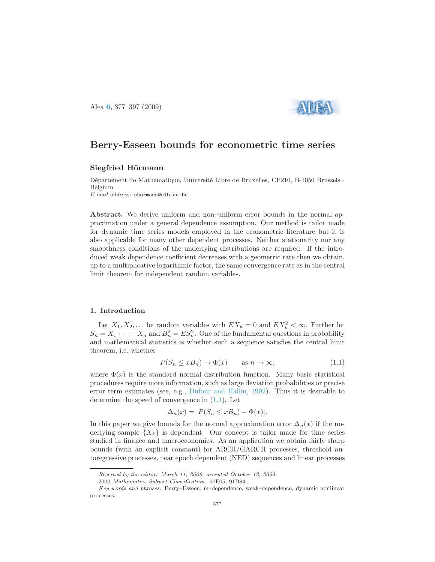Alea [6](http://alea.impa.br/english/index_v6.htm), 377–397 (2009)



# Berry-Esseen bounds for econometric time series

## Siegfried Hörmann

Département de Mathématique, Université Libre de Bruxelles, CP210, B-1050 Brussels -Belgium E-mail address: shormann@ulb.ac.be

Abstract. We derive uniform and non–uniform error bounds in the normal approximation under a general dependence assumption. Our method is tailor made for dynamic time series models employed in the econometric literature but it is also applicable for many other dependent processes. Neither stationarity nor any smoothness conditions of the underlying distributions are required. If the introduced weak dependence coefficient decreases with a geometric rate then we obtain, up to a multiplicative logarithmic factor, the same convergence rate as in the central limit theorem for independent random variables.

#### 1. Introduction

Let  $X_1, X_2, \ldots$  be random variables with  $EX_k = 0$  and  $EX_k^2 < \infty$ . Further let  $S_n = X_1 + \cdots + X_n$  and  $B_n^2 = ES_n^2$ . One of the fundamental questions in probability and mathematical statistics is whether such a sequence satisfies the central limit theorem, i.e. whether

$$
P(S_n \le xB_n) \to \Phi(x) \qquad \text{as } n \to \infty,
$$
\n(1.1)

<span id="page-0-0"></span>where  $\Phi(x)$  is the standard normal distribution function. Many basic statistical procedures require more information, such as large deviation probabilities or precise error term estimates (see, e.g., [Dufour and Hallin](#page-18-0), [1992](#page-18-0)). Thus it is desirable to determine the speed of convergence in [\(1.1\)](#page-0-0). Let

$$
\Delta_n(x) = |P(S_n \le xB_n) - \Phi(x)|.
$$

In this paper we give bounds for the normal approximation error  $\Delta_n(x)$  if the underlying sample  $\{X_k\}$  is dependent. Our concept is tailor made for time series studied in finance and macroeconomics. As an application we obtain fairly sharp bounds (with an explicit constant) for ARCH/GARCH processes, threshold autoregressive processes, near epoch dependent (NED) sequences and linear processes

Received by the editors March 11, 2009; accepted October 12, 2009.

<sup>2000</sup> Mathematics Subject Classification. 60F05, 91B84.

Key words and phrases. Berry–Esseen, m–dependence, weak–dependence, dynamic nonlinear processes.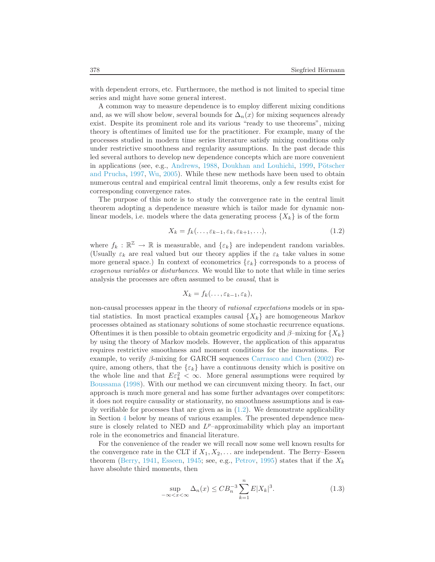with dependent errors, etc. Furthermore, the method is not limited to special time series and might have some general interest.

A common way to measure dependence is to employ different mixing conditions and, as we will show below, several bounds for  $\Delta_n(x)$  for mixing sequences already exist. Despite its prominent role and its various "ready to use theorems", mixing theory is oftentimes of limited use for the practitioner. For example, many of the processes studied in modern time series literature satisfy mixing conditions only under restrictive smoothness and regularity assumptions. In the past decade this led several authors to develop new dependence concepts which are more convenient in applications (see, e.g., [Andrews](#page-17-0), [1988](#page-17-0), [Doukhan and Louhichi](#page-17-1)[,](#page-19-0) [1999,](#page-17-1) Pötscher and Prucha, [1997](#page-19-0), [Wu,](#page-19-1) [2005](#page-19-1)). While these new methods have been used to obtain numerous central and empirical central limit theorems, only a few results exist for corresponding convergence rates.

<span id="page-1-0"></span>The purpose of this note is to study the convergence rate in the central limit theorem adopting a dependence measure which is tailor made for dynamic nonlinear models, i.e. models where the data generating process  $\{X_k\}$  is of the form

$$
X_k = f_k(\ldots, \varepsilon_{k-1}, \varepsilon_k, \varepsilon_{k+1}, \ldots), \tag{1.2}
$$

where  $f_k : \mathbb{R}^{\mathbb{Z}} \to \mathbb{R}$  is measurable, and  $\{\varepsilon_k\}$  are independent random variables. (Usually  $\varepsilon_k$  are real valued but our theory applies if the  $\varepsilon_k$  take values in some more general space.) In context of econometrics  $\{\varepsilon_k\}$  corresponds to a process of exogenous variables or disturbances. We would like to note that while in time series analysis the processes are often assumed to be causal, that is

$$
X_k = f_k(\ldots, \varepsilon_{k-1}, \varepsilon_k),
$$

non-causal processes appear in the theory of rational expectations models or in spatial statistics. In most practical examples causal  ${X_k}$  are homogeneous Markov processes obtained as stationary solutions of some stochastic recurrence equations. Oftentimes it is then possible to obtain geometric ergodicity and  $\beta$ –mixing for  $\{X_k\}$ by using the theory of Markov models. However, the application of this apparatus requires restrictive smoothness and moment conditions for the innovations. For example, to verify β-mixing for GARCH sequences [Carrasco and Chen](#page-17-2) [\(2002](#page-17-2)) require, among others, that the  $\{\varepsilon_k\}$  have a continuous density which is positive on the whole line and that  $E \varepsilon_k^2 < \infty$ . More general assumptions were required by [Boussama](#page-17-3) [\(1998](#page-17-3)). With our method we can circumvent mixing theory. In fact, our approach is much more general and has some further advantages over competitors: it does not require causality or stationarity, no smoothness assumptions and is easily verifiable for processes that are given as in  $(1.2)$ . We demonstrate applicability in Section [4](#page-7-0) below by means of various examples. The presented dependence measure is closely related to NED and  $L^p$ -approximability which play an important role in the econometrics and financial literature.

<span id="page-1-1"></span>For the convenience of the reader we will recall now some well known results for the convergence rate in the CLT if  $X_1, X_2, \ldots$  are independent. The Berry–Esseen theorem [\(Berry,](#page-17-4) [1941](#page-17-4), [Esseen,](#page-18-1) [1945](#page-18-1); see, e.g., [Petrov](#page-19-2), [1995\)](#page-19-2) states that if the  $X_k$ have absolute third moments, then

$$
\sup_{-\infty < x < \infty} \Delta_n(x) \leq C B_n^{-3} \sum_{k=1}^n E|X_k|^3. \tag{1.3}
$$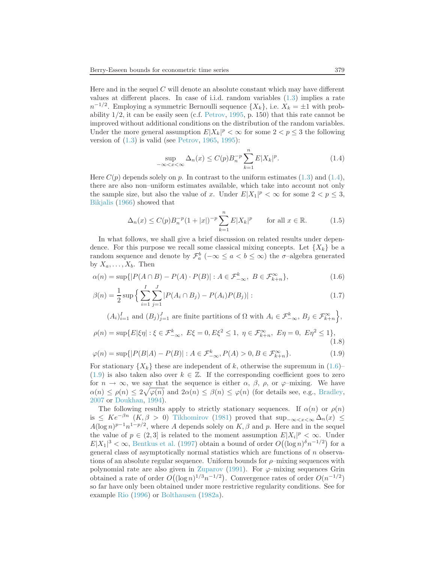Here and in the sequel  $C$  will denote an absolute constant which may have different values at different places. In case of i.i.d. random variables [\(1.3\)](#page-1-1) implies a rate  $n^{-1/2}$ . Employing a symmetric Bernoulli sequence  $\{X_k\}$ , i.e.  $X_k = \pm 1$  with probability  $1/2$ , it can be easily seen (c.f. [Petrov](#page-19-2), [1995,](#page-19-2) p. 150) that this rate cannot be improved without additional conditions on the distribution of the random variables. Under the more general assumption  $E|X_k|^p < \infty$  for some  $2 < p \leq 3$  the following version of  $(1.3)$  is valid (see [Petrov](#page-18-2), [1965](#page-18-2), [1995](#page-19-2)):

$$
\sup_{-\infty < x < \infty} \Delta_n(x) \le C(p) B_n^{-p} \sum_{k=1}^n E|X_k|^p. \tag{1.4}
$$

<span id="page-2-0"></span>Here  $C(p)$  depends solely on p. In contrast to the uniform estimates [\(1.3\)](#page-1-1) and [\(1.4\)](#page-2-0), there are also non–uniform estimates available, which take into account not only the sample size, but also the value of x. Under  $E|X_1|^p < \infty$  for some  $2 < p \leq 3$ , [Bikjalis](#page-17-5) [\(1966\)](#page-17-5) showed that

<span id="page-2-1"></span>
$$
\Delta_n(x) \le C(p)B_n^{-p}(1+|x|)^{-p} \sum_{k=1}^n E|X_k|^p \qquad \text{for all } x \in \mathbb{R}.
$$
 (1.5)

In what follows, we shall give a brief discussion on related results under dependence. For this purpose we recall some classical mixing concepts. Let  $\{X_k\}$  be a random sequence and denote by  $\mathcal{F}_a^b$  ( $-\infty \le a < b \le \infty$ ) the  $\sigma$ -algebra generated by  $X_a, \ldots, X_b$ . Then

$$
\alpha(n) = \sup\{|P(A \cap B) - P(A) \cdot P(B)| : A \in \mathcal{F}_{-\infty}^k, B \in \mathcal{F}_{k+n}^{\infty}\},\tag{1.6}
$$

$$
\beta(n) = \frac{1}{2} \sup \left\{ \sum_{i=1}^{I} \sum_{j=1}^{J} |P(A_i \cap B_j) - P(A_i)P(B_j)| \right\}.
$$
\n(1.7)

<span id="page-2-2"></span> $(A_i)_{i=1}^I$  and  $(B_j)_{j=1}^J$  are finite partitions of  $\Omega$  with  $A_i \in \mathcal{F}_{-\infty}^k$ ,  $B_j \in \mathcal{F}_{k+n}^{\infty}$ ,

$$
\rho(n) = \sup \{ E|\xi \eta| : \xi \in \mathcal{F}_{-\infty}^k, \ E\xi = 0, E\xi^2 \le 1, \ \eta \in \mathcal{F}_{k+n}^{\infty}, \ E\eta = 0, \ E\eta^2 \le 1 \},\tag{1.8}
$$

$$
\varphi(n) = \sup\{|P(B|A) - P(B)| : A \in \mathcal{F}_{-\infty}^k, P(A) > 0, B \in \mathcal{F}_{k+n}^\infty\}.\tag{1.9}
$$

For stationary  $\{X_k\}$  these are independent of k, otherwise the supremum in [\(1.6\)](#page-2-1)–  $(1.9)$  is also taken also over  $k \in \mathbb{Z}$ . If the corresponding coefficient goes to zero for  $n \to \infty$ , we say that the sequence is either  $\alpha$ ,  $\beta$ ,  $\rho$ , or  $\varphi$ -mixing. We have  $\alpha(n) \leq \rho(n) \leq 2\sqrt{\varphi(n)}$  and  $2\alpha(n) \leq \beta(n) \leq \varphi(n)$  (for details see, e.g., [Bradley,](#page-17-6) [2007](#page-17-6) or [Doukhan,](#page-17-7) [1994\)](#page-17-7).

The following results apply to strictly stationary sequences. If  $\alpha(n)$  or  $\rho(n)$ is  $\leq Ke^{-\beta n}$   $(K, \beta > 0)$  [Tikhomirov](#page-19-3) [\(1981\)](#page-19-3) proved that  $\sup_{-\infty < x < \infty} \Delta_n(x) \leq$  $A(\log n)^{p-1}n^{1-p/2}$ , where A depends solely on  $K, \beta$  and p. Here and in the sequel the value of  $p \in (2,3]$  is related to the moment assumption  $E|X_i|^p < \infty$ . Under  $E|X_1|^3 < \infty$ , [Bentkus et al.](#page-17-8) [\(1997](#page-17-8)) obtain a bound of order  $O((\log n)^6 n^{-1/2})$  for a general class of asymptotically normal statistics which are functions of n observations of an absolute regular sequence. Uniform bounds for  $\rho$ -mixing sequences with polynomial rate are also given in [Zuparov](#page-20-0) [\(1991](#page-20-0)). For  $\varphi$ –mixing sequences Grin obtained a rate of order  $O((\log n)^{1/3}n^{-1/2})$ . Convergence rates of order  $O(n^{-1/2})$ so far have only been obtained under more restrictive regularity conditions. See for example [Rio](#page-19-4) [\(1996](#page-19-4)) or [Bolthausen](#page-17-9) [\(1982a](#page-17-9)).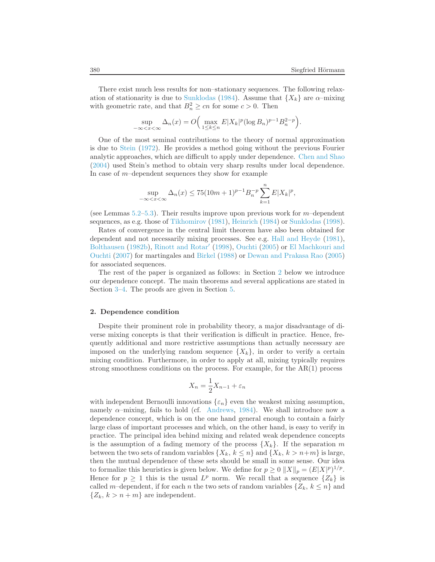There exist much less results for non–stationary sequences. The following relax-ation of stationarity is due to [Sunklodas](#page-19-5) [\(1984\)](#page-19-5). Assume that  $\{X_k\}$  are  $\alpha$ -mixing with geometric rate, and that  $B_n^2 \ge cn$  for some  $c > 0$ . Then

$$
\sup_{-\infty < x < \infty} \Delta_n(x) = O\Big(\max_{1 \le k \le n} E|X_k|^p (\log B_n)^{p-1} B_n^{2-p}\Big).
$$

One of the most seminal contributions to the theory of normal approximation is due to [Stein](#page-19-6) [\(1972\)](#page-19-6). He provides a method going without the previous Fourier analytic approaches, which are difficult to apply under dependence. [Chen and Shao](#page-17-10) [\(2004\)](#page-17-10) used Stein's method to obtain very sharp results under local dependence. In case of  $m$ –dependent sequences they show for example

$$
\sup_{-\infty < x < \infty} \Delta_n(x) \le 75(10m+1)^{p-1} B_n^{-p} \sum_{k=1}^n E|X_k|^p,
$$

(see Lemmas  $5.2-5.3$ ). Their results improve upon previous work for m-dependent sequences, as e.g. those of [Tikhomirov](#page-19-3) [\(1981](#page-19-3)), [Heinrich](#page-18-3) [\(1984\)](#page-18-3) or [Sunklodas](#page-19-7) [\(1998\)](#page-19-7).

Rates of convergence in the central limit theorem have also been obtained for dependent and not necessarily mixing processes. See e.g. [Hall and Heyde](#page-18-4) [\(1981\)](#page-18-4), [Bolthausen](#page-17-11) [\(1982b\)](#page-17-11), [Rinott and Rotar](#page-19-8)′ [\(1998\)](#page-19-8), [Ouchti](#page-18-5) [\(2005\)](#page-18-5) or El Machkouri and Ouchti [\(2007](#page-18-6)) for martingales and [Birkel](#page-17-12) [\(1988](#page-17-12)) or [Dewan and Prakasa Rao](#page-17-13) [\(2005\)](#page-17-13) for associated sequences.

The rest of the paper is organized as follows: in Section [2](#page-3-0) below we introduce our dependence concept. The main theorems and several applications are stated in Section [3–](#page-5-0)[4.](#page-7-0) The proofs are given in Section [5.](#page-12-2)

## <span id="page-3-0"></span>2. Dependence condition

Despite their prominent role in probability theory, a major disadvantage of diverse mixing concepts is that their verification is difficult in practice. Hence, frequently additional and more restrictive assumptions than actually necessary are imposed on the underlying random sequence  $\{X_k\}$ , in order to verify a certain mixing condition. Furthermore, in order to apply at all, mixing typically requires strong smoothness conditions on the process. For example, for the  $AR(1)$  process

$$
X_n = \frac{1}{2}X_{n-1} + \varepsilon_n
$$

<span id="page-3-1"></span>with independent Bernoulli innovations  $\{\varepsilon_n\}$  even the weakest mixing assumption, namely  $\alpha$ -mixing, fails to hold (cf. [Andrews](#page-17-14), [1984](#page-17-14)). We shall introduce now a dependence concept, which is on the one hand general enough to contain a fairly large class of important processes and which, on the other hand, is easy to verify in practice. The principal idea behind mixing and related weak dependence concepts is the assumption of a fading memory of the process  $\{X_k\}$ . If the separation m between the two sets of random variables  $\{X_k, k \leq n\}$  and  $\{X_k, k > n+m\}$  is large, then the mutual dependence of these sets should be small in some sense. Our idea to formalize this heuristics is given below. We define for  $p \ge 0$   $||X||_p = (E|X|^p)^{1/p}$ . Hence for  $p \geq 1$  this is the usual  $L^p$  norm. We recall that a sequence  $\{Z_k\}$  is called m–dependent, if for each n the two sets of random variables  $\{Z_k, k \leq n\}$  and  $\{Z_k, k > n + m\}$  are independent.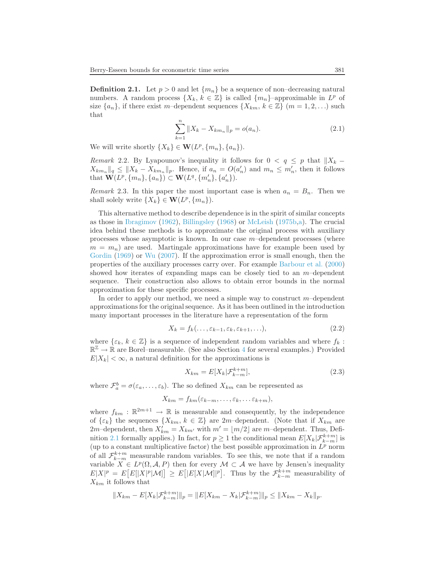**Definition 2.1.** Let  $p > 0$  and let  $\{m_n\}$  be a sequence of non–decreasing natural numbers. A random process  $\{X_k, k \in \mathbb{Z}\}\$ is called  $\{m_n\}$ -approximable in  $L^p$  of size  $\{a_n\}$ , if there exist m–dependent sequences  $\{X_{km}, k \in \mathbb{Z}\}\ (m = 1, 2, \ldots)$  such that

$$
\sum_{k=1}^{n} \|X_k - X_{km_n}\|_p = o(a_n).
$$
 (2.1)

<span id="page-4-1"></span>We will write shortly  $\{X_k\} \in \mathbf{W}(L^p, \{m_n\}, \{a_n\}).$ 

Remark 2.2. By Lyapounov's inequality it follows for  $0 < q \leq p$  that  $||X_k X_{km_n} \|_q \leq \|X_k - X_{km_n}\|_p$ . Hence, if  $a_n = O(a'_n)$  and  $m_n \leq m'_n$ , then it follows that  $\mathbf{W}(L^p, \{m_n\}, \{a_n\}) \subset \mathbf{W}(L^q, \{m'_n\}, \{a'_n\}).$ 

Remark 2.3. In this paper the most important case is when  $a_n = B_n$ . Then we shall solely write  $\{X_k\} \in \mathbf{W}(L^p, \{m_n\}).$ 

This alternative method to describe dependence is in the spirit of similar concepts as those in [Ibragimov](#page-18-7) [\(1962](#page-18-7)), [Billingsley](#page-17-15) [\(1968](#page-17-15)) or [McLeish](#page-18-8) [\(1975b](#page-18-8)[,a](#page-18-9)). The crucial idea behind these methods is to approximate the original process with auxiliary processes whose asymptotic is known. In our case  $m$ –dependent processes (where  $m = m_n$ ) are used. Martingale approximations have for example been used by [Gordin](#page-18-10) [\(1969\)](#page-18-10) or [Wu](#page-19-9) [\(2007](#page-19-9)). If the approximation error is small enough, then the properties of the auxiliary processes carry over. For example [Barbour et al.](#page-17-16) [\(2000\)](#page-17-16) showed how iterates of expanding maps can be closely tied to an  $m$ -dependent sequence. Their construction also allows to obtain error bounds in the normal approximation for these specific processes.

<span id="page-4-2"></span>In order to apply our method, we need a simple way to construct  $m$ -dependent approximations for the original sequence. As it has been outlined in the introduction many important processes in the literature have a representation of the form

$$
X_k = f_k(\ldots, \varepsilon_{k-1}, \varepsilon_k, \varepsilon_{k+1}, \ldots), \tag{2.2}
$$

where  $\{\varepsilon_k, k \in \mathbb{Z}\}\$  is a sequence of independent random variables and where  $f_k$ :  $\mathbb{R}^{\mathbb{Z}} \to \mathbb{R}$  are Borel–measurable. (See also Section [4](#page-7-0) for several examples.) Provided  $E|X_k| < \infty$ , a natural definition for the approximations is

$$
X_{km} = E[X_k | \mathcal{F}_{k-m}^{k+m}], \tag{2.3}
$$

where  $\mathcal{F}_a^b = \sigma(\varepsilon_a, \dots, \varepsilon_b)$ . The so defined  $X_{km}$  can be represented as

<span id="page-4-0"></span>
$$
X_{km} = f_{km}(\varepsilon_{k-m},\ldots,\varepsilon_k,\ldots\varepsilon_{k+m}),
$$

where  $f_{km} : \mathbb{R}^{2m+1} \to \mathbb{R}$  is measurable and consequently, by the independence of  $\{\varepsilon_k\}$  the sequences  $\{X_{km}, k \in \mathbb{Z}\}\$  are 2m-dependent. (Note that if  $X_{km}$  are 2m–dependent, then  $X'_{km} = X_{km'}$  with  $m' = \lfloor m/2 \rfloor$  are m–dependent. Thus, Defi-nition [2.1](#page-3-1) formally applies.) In fact, for  $p \ge 1$  the conditional mean  $E[X_k|\mathcal{F}_{k-m}^{k+m}]$  is (up to a constant multiplicative factor) the best possible approximation in  $L^p$  norm of all  $\mathcal{F}_{k-m}^{k+m}$  measurable random variables. To see this, we note that if a random variable  $X \in L^p(\Omega, \mathcal{A}, P)$  then for every  $\mathcal{M} \subset \mathcal{A}$  we have by Jensen's inequality  $E|X|^p = E[E[|X|^p|\mathcal{M}]] \geq E[|E[X|\mathcal{M}]|^p].$  Thus by the  $\mathcal{F}_{k-m}^{k+m}$  measurability of  $X_{km}$  it follows that

$$
||X_{km} - E[X_k|\mathcal{F}_{k-m}^{k+m}]||_p = ||E[X_{km} - X_k|\mathcal{F}_{k-m}^{k+m}]||_p \le ||X_{km} - X_k||_p.
$$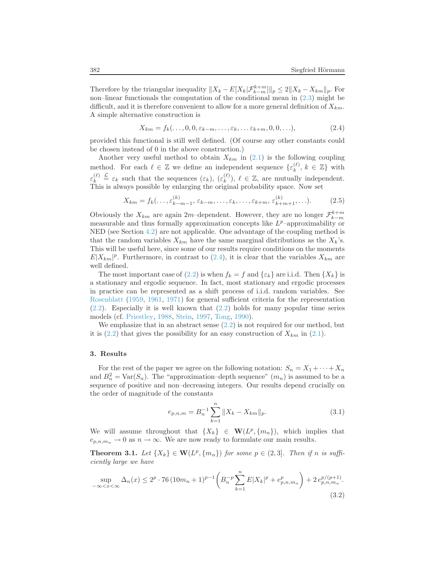Therefore by the triangular inequality  $||X_k - E[X_k|\mathcal{F}_{k-m}^{k+m}]||_p \leq 2||X_k - X_{km}||_p$ . For non–linear functionals the computation of the conditional mean in [\(2.3\)](#page-4-0) might be difficult, and it is therefore convenient to allow for a more general definition of  $X_{km}$ . A simple alternative construction is

$$
X_{km} = f_k(\ldots, 0, 0, \varepsilon_{k-m}, \ldots, \varepsilon_k, \ldots \varepsilon_{k+m}, 0, 0, \ldots), \tag{2.4}
$$

<span id="page-5-1"></span>provided this functional is still well defined. (Of course any other constants could be chosen instead of 0 in the above construction.)

Another very useful method to obtain  $X_{km}$  in  $(2.1)$  is the following coupling method. For each  $\ell \in \mathbb{Z}$  we define an independent sequence  $\{\varepsilon_k^{(\ell)}\}$  $\binom{\ell}{k}$ ,  $k \in \mathbb{Z}$  with  $\varepsilon_k^{(\ell)}$  $\mathcal{L}_{k}^{(\ell)} \triangleq \varepsilon_{k}$  such that the sequences  $(\varepsilon_{k}), (\varepsilon_{k}^{(\ell)})$  $\binom{\ell}{k}$ ,  $\ell \in \mathbb{Z}$ , are mutually independent. This is always possible by enlarging the original probability space. Now set

$$
X_{km} = f_k(\ldots, \varepsilon_{k-m-1}^{(k)}, \varepsilon_{k-m}, \ldots, \varepsilon_k, \ldots, \varepsilon_{k+m}, \varepsilon_{k+m+1}^{(k)}, \ldots). \tag{2.5}
$$

<span id="page-5-4"></span>Obviously the  $X_{km}$  are again 2m–dependent. However, they are no longer  $\mathcal{F}_{k-m}^{k+m}$ measurable and thus formally approximation concepts like  $L^p$ -approximability or NED (see Section [4.2\)](#page-8-0) are not applicable. One advantage of the coupling method is that the random variables  $X_{km}$  have the same marginal distributions as the  $X_k$ 's. This will be useful here, since some of our results require conditions on the moments  $E|X_{km}|^p$ . Furthermore, in contrast to [\(2.4\)](#page-5-1), it is clear that the variables  $X_{km}$  are well defined.

The most important case of [\(2.2\)](#page-4-2) is when  $f_k = f$  and  $\{\varepsilon_k\}$  are i.i.d. Then  $\{X_k\}$  is a stationary and ergodic sequence. In fact, most stationary and ergodic processes in practice can be represented as a shift process of i.i.d. random variables. See [Rosenblatt](#page-19-10) [\(1959](#page-19-10), [1961](#page-19-11), [1971\)](#page-19-12) for general sufficient criteria for the representation [\(2.2\)](#page-4-2). Especially it is well known that [\(2.2\)](#page-4-2) holds for many popular time series models (cf. [Priestley,](#page-19-13) [1988](#page-19-13), [Stein](#page-19-14), [1997](#page-19-14), [Tong](#page-19-15), [1990](#page-19-15)).

We emphasize that in an abstract sense [\(2.2\)](#page-4-2) is not required for our method, but it is  $(2.2)$  that gives the possibility for an easy construction of  $X_{km}$  in  $(2.1)$ .

### <span id="page-5-0"></span>3. Results

For the rest of the paper we agree on the following notation:  $S_n = X_1 + \cdots + X_n$ and  $B_n^2 = \text{Var}(S_n)$ . The "approximation-depth sequence"  $(m_n)$  is assumed to be a sequence of positive and non–decreasing integers. Our results depend crucially on the order of magnitude of the constants

$$
e_{p,n,m} = B_n^{-1} \sum_{k=1}^n \|X_k - X_{km}\|_p.
$$
 (3.1)

<span id="page-5-5"></span><span id="page-5-2"></span>We will assume throughout that  $\{X_k\} \in \mathbf{W}(L^p, \{m_n\})$ , which implies that  $e_{p,n,m_n} \to 0$  as  $n \to \infty$ . We are now ready to formulate our main results.

**Theorem 3.1.** Let  $\{X_k\} \in \mathbf{W}(L^p, \{m_n\})$  for some  $p \in (2, 3]$ . Then if n is sufficiently large we have

<span id="page-5-3"></span>
$$
\sup_{-\infty < x < \infty} \Delta_n(x) \le 2^p \cdot 76 \left( 10m_n + 1 \right)^{p-1} \left( B_n^{-p} \sum_{k=1}^n E|X_k|^p + e_{p,n,m_n}^p \right) + 2 \, e_{p,n,m_n}^{p/(p+1)}.\tag{3.2}
$$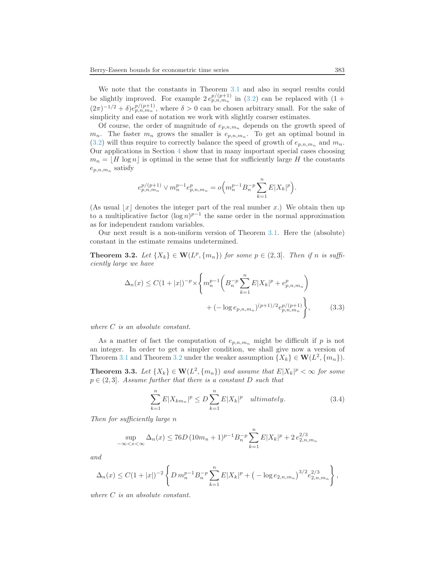We note that the constants in Theorem [3.1](#page-5-2) and also in sequel results could be slightly improved. For example  $2 e_{p,n,m_n}^{p/(p+1)}$  in [\(3.2\)](#page-5-3) can be replaced with (1 +  $(2\pi)^{-1/2} + \delta e^{p/(p+1)}_{p,n,m_n}$ , where  $\delta > 0$  can be chosen arbitrary small. For the sake of simplicity and ease of notation we work with slightly coarser estimates.

Of course, the order of magnitude of  $e_{p,n,m_n}$  depends on the growth speed of  $m_n$ . The faster  $m_n$  grows the smaller is  $e_{p,n,m_n}$ . To get an optimal bound in  $(3.2)$  will thus require to correctly balance the speed of growth of  $e_{p,n,m_n}$  and  $m_n$ . Our applications in Section [4](#page-7-0) show that in many important special cases choosing  $m_n = |H| \log n$  is optimal in the sense that for sufficiently large H the constants  $e_{p,n,m_n}$  satisfy

$$
e_{p,n,m_n}^{p/(p+1)} \vee m_n^{p-1} e_{p,n,m_n}^p = o\Big( m_n^{p-1} B_n^{-p} \sum_{k=1}^n E|X_k|^p \Big).
$$

(As usual  $|x|$  denotes the integer part of the real number x.) We obtain then up to a multiplicative factor  $(\log n)^{p-1}$  the same order in the normal approximation as for independent random variables.

<span id="page-6-0"></span>Our next result is a non-uniform version of Theorem [3.1.](#page-5-2) Here the (absolute) constant in the estimate remains undetermined.

**Theorem 3.2.** Let  $\{X_k\} \in \mathbf{W}(L^p, \{m_n\})$  for some  $p \in (2, 3]$ . Then if n is sufficiently large we have

<span id="page-6-3"></span>
$$
\Delta_n(x) \le C(1+|x|)^{-p} \times \left\{ m_n^{p-1} \left( B_n^{-p} \sum_{k=1}^n E|X_k|^p + e_{p,n,m_n}^p \right) + (-\log e_{p,n,m_n})^{(p+1)/2} e_{p,n,m_n}^{p/(p+1)} \right\},\tag{3.3}
$$

where C is an absolute constant.

As a matter of fact the computation of  $e_{p,n,m_n}$  might be difficult if p is not an integer. In order to get a simpler condition, we shall give now a version of Theorem [3.1](#page-5-2) and Theorem [3.2](#page-6-0) under the weaker assumption  $\{X_k\} \in \mathbf{W}(L^2, \{m_n\})$ .

<span id="page-6-2"></span><span id="page-6-1"></span>**Theorem 3.3.** Let  $\{X_k\} \in \mathbf{W}(L^2, \{m_n\})$  and assume that  $E|X_k|^p < \infty$  for some  $p \in (2, 3]$ . Assume further that there is a constant D such that

$$
\sum_{k=1}^{n} E|X_{km_n}|^p \le D \sum_{k=1}^{n} E|X_k|^p \quad \text{ultimately.} \tag{3.4}
$$

Then for sufficiently large n

$$
\sup_{-\infty < x < \infty} \Delta_n(x) \le 76D \left( 10m_n + 1 \right)^{p-1} B_n^{-p} \sum_{k=1}^n E|X_k|^p + 2 \, e_{2,n,m_n}^{2/3}
$$

and

$$
\Delta_n(x) \leq C(1+|x|)^{-2} \left\{ D m_n^{p-1} B_n^{-p} \sum_{k=1}^n E|X_k|^p + \left(-\log e_{2,n,m_n}\right)^{3/2} e_{2,n,m_n}^{2/3} \right\},\,
$$

where  $C$  is an absolute constant.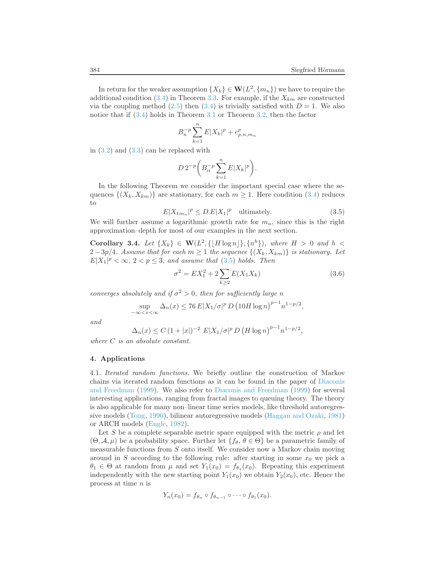In return for the weaker assumption  $\{X_k\} \in \mathbf{W}(L^2, \{m_n\})$  we have to require the additional condition  $(3.4)$  in Theorem [3.3.](#page-6-2) For example, if the  $X_{km}$  are constructed via the coupling method [\(2.5\)](#page-5-4) then [\(3.4\)](#page-6-1) is trivially satisfied with  $D = 1$ . We also notice that if [\(3.4\)](#page-6-1) holds in Theorem [3.1](#page-5-2) or Theorem [3.2,](#page-6-0) then the factor

$$
B_n^{-p} \sum_{k=1}^n E|X_k|^p + e_{p,n,m_n}^p
$$

in [\(3.2\)](#page-5-3) and [\(3.3\)](#page-6-3) can be replaced with

$$
D 2^{-p} \bigg( B_n^{-p} \sum_{k=1}^n E|X_k|^p \bigg).
$$

<span id="page-7-1"></span>In the following Theorem we consider the important special case where the sequences  $\{(X_k, X_{km})\}$  are stationary, for each  $m \geq 1$ . Here condition [\(3.4\)](#page-6-1) reduces to

$$
E|X_{1m_n}|^p \le D E|X_1|^p \quad \text{ultimately.} \tag{3.5}
$$

<span id="page-7-2"></span>We will further assume a logarithmic growth rate for  $m_n$ , since this is the right approximation–depth for most of our examples in the next section.

<span id="page-7-3"></span>Corollary 3.4. Let  $\{X_k\} \in \mathbf{W}(L^2, \{\lfloor H \log n \rfloor\}, \{n^h\})$ , where  $H > 0$  and  $h <$  $2-3p/4$ . Assume that for each  $m \geq 1$  the sequence  $\{(X_k, X_{km})\}$  is stationary. Let  $E|X_1|^p < \infty$ ,  $2 < p \le 3$ , and assume that [\(3.5\)](#page-7-1) holds. Then

$$
\sigma^2 = EX_1^2 + 2\sum_{k\geq 2} E(X_1 X_k)
$$
\n(3.6)

converges absolutely and if  $\sigma^2 > 0$ , then for sufficiently large n

$$
\sup_{-\infty < x < \infty} \Delta_n(x) \le 76 E |X_1/\sigma|^p D \left(10H \log n\right)^{p-1} n^{1-p/2},
$$

and

$$
\Delta_n(x) \le C (1+|x|)^{-2} E|X_1/\sigma|^p D (H \log n)^{p-1} n^{1-p/2},
$$

<span id="page-7-0"></span>where C is an absolute constant.

## 4. Applications

4.1. Iterated random functions. We briefly outline the construction of Markov chains via ite[rated random functions as it can be found in the](#page-17-17) paper of Diaconis and Freedman [\(1999\)](#page-17-17). We also refer to [Diaconis and Freedman](#page-17-17) [\(1999](#page-17-17)) for several interesting applications, ranging from fractal images to queuing theory. The theory is also applicable for many non–linear time series models, like threshold autoregressive models [\(Tong](#page-19-15), [1990](#page-19-15)), bilinear autoregressive models [\(Haggan and Ozaki](#page-18-11), [1981\)](#page-18-11) or ARCH models [\(Engle](#page-18-12), [1982\)](#page-18-12).

Let S be a complete separable metric space equipped with the metric  $\rho$  and let  $(\Theta, \mathcal{A}, \mu)$  be a probability space. Further let  $\{f_{\theta}, \theta \in \Theta\}$  be a parametric family of measurable functions from S onto itself. We consider now a Markov chain moving around in S according to the following rule: after starting in some  $x_0$  we pick a  $\theta_1 \in \Theta$  at random from  $\mu$  and set  $Y_1(x_0) = f_{\theta_1}(x_0)$ . Repeating this experiment independently with the new starting point  $Y_1(x_0)$  we obtain  $Y_2(x_0)$ , etc. Hence the process at time n is

$$
Y_n(x_0)=f_{\theta_n}\circ f_{\theta_{n-1}}\circ\cdots\circ f_{\theta_1}(x_0).
$$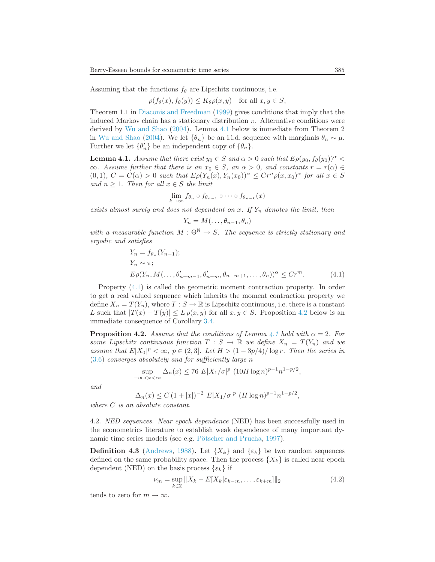Assuming that the functions  $f_{\theta}$  are Lipschitz continuous, i.e.

$$
\rho(f_{\theta}(x), f_{\theta}(y)) \leq K_{\theta}\rho(x, y) \quad \text{for all } x, y \in S,
$$

Theorem 1.1 in [Diaconis and Freedman](#page-17-17) [\(1999\)](#page-17-17) gives conditions that imply that the induced Markov chain has a stationary distribution  $\pi$ . Alternative conditions were derived by [Wu and Shao](#page-20-1) [\(2004\)](#page-20-1). Lemma [4.1](#page-8-1) below is immediate from Theorem 2 in [Wu and Shao](#page-20-1) [\(2004](#page-20-1)). We let  $\{\theta_n\}$  be an i.i.d. sequence with marginals  $\theta_n \sim \mu$ . Further we let  $\{\theta'_n\}$  be an independent copy of  $\{\theta_n\}$ .

<span id="page-8-1"></span>**Lemma 4.1.** Assume that there exist  $y_0 \in S$  and  $\alpha > 0$  such that  $E \rho(y_0, f_{\theta}(y_0))^{\alpha}$  $\infty$ . Assume further that there is an  $x_0 \in S$ , an  $\alpha > 0$ , and constants  $r = r(\alpha) \in S$  $(0,1), C = C(\alpha) > 0$  such that  $E\rho(Y_n(x), Y_n(x_0))^{\alpha} \leq Cr^n \rho(x, x_0)^{\alpha}$  for all  $x \in S$ and  $n \geq 1$ . Then for all  $x \in S$  the limit

$$
\lim_{k \to \infty} f_{\theta_n} \circ f_{\theta_{n-1}} \circ \cdots \circ f_{\theta_{n-k}}(x)
$$

exists almost surely and does not dependent on x. If  $Y_n$  denotes the limit, then

<span id="page-8-2"></span>
$$
Y_n = M(\ldots, \theta_{n-1}, \theta_n)
$$

with a measurable function  $M : \Theta^{\mathbb{N}} \to S$ . The sequence is strictly stationary and ergodic and satisfies

$$
Y_n = f_{\theta_n}(Y_{n-1});
$$
  
\n
$$
Y_n \sim \pi;
$$
  
\n
$$
E\rho(Y_n, M(\ldots, \theta'_{n-m-1}, \theta'_{n-m}, \theta_{n-m+1}, \ldots, \theta_n))^{\alpha} \le Cr^m.
$$
\n(4.1)

Property [\(4.1\)](#page-8-2) is called the geometric moment contraction property. In order to get a real valued sequence which inherits the moment contraction property we define  $X_n = T(Y_n)$ , where  $T : S \to \mathbb{R}$  is Lipschitz continuous, i.e. there is a constant L such that  $|T(x) - T(y)| \leq L \rho(x, y)$  for all  $x, y \in S$ . Proposition [4.2](#page-8-3) below is an immediate consequence of Corollary [3.4.](#page-7-2)

<span id="page-8-3"></span>**Proposition 4.2.** Assume that the conditions of Lemma [4.1](#page-8-1) hold with  $\alpha = 2$ . For some Lipschitz continuous function  $T : S \to \mathbb{R}$  we define  $X_n = T(Y_n)$  and we assume that  $E|X_0|^p < \infty$ ,  $p \in (2,3]$ . Let  $H > (1 - 3p/4)/\log r$ . Then the series in [\(3.6\)](#page-7-3) converges absolutely and for sufficiently large n

$$
\sup_{-\infty < x < \infty} \Delta_n(x) \le 76 \ E|X_1/\sigma|^p \ (10H \log n)^{p-1} n^{1-p/2},
$$

and

$$
\Delta_n(x) \le C \left(1+|x|\right)^{-2} E|X_1/\sigma|^p \left(H \log n\right)^{p-1} n^{1-p/2},
$$

<span id="page-8-0"></span>where C is an absolute constant.

4.2. NED sequences. Near epoch dependence (NED) has been successfully used in the econometrics literature to establish weak dependence of many important dy-namic time series models (see e.g. Pötscher and Prucha, [1997\)](#page-19-0).

<span id="page-8-4"></span>**Definition 4.3** [\(Andrews,](#page-17-0) [1988\)](#page-17-0). Let  $\{X_k\}$  and  $\{\varepsilon_k\}$  be two random sequences defined on the same probability space. Then the process  $\{X_k\}$  is called near epoch dependent (NED) on the basis process  $\{\varepsilon_k\}$  if

$$
\nu_m = \sup_{k \in \mathbb{Z}} \|X_k - E[X_k | \varepsilon_{k-m}, \dots, \varepsilon_{k+m}] \|_2 \tag{4.2}
$$

tends to zero for  $m \to \infty$ .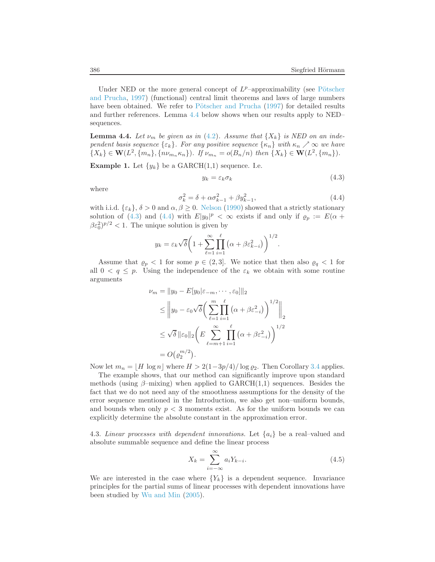Under N[ED or the more general concept of](#page-19-0)  $L^p$ -approximability (see Pötscher and Prucha, [1997](#page-19-0)) (functional) central limit theorems and laws of large numbers have been obtained. We refer to Pötscher and Prucha [\(1997](#page-19-0)) for detailed results and further references. Lemma [4.4](#page-9-0) below shows when our results apply to NED– sequences.

<span id="page-9-0"></span>**Lemma 4.4.** Let  $\nu_m$  be given as in [\(4.2\)](#page-8-4). Assume that  $\{X_k\}$  is NED on an independent basis sequence  $\{\varepsilon_k\}$ . For any positive sequence  $\{\kappa_n\}$  with  $\kappa_n \nearrow \infty$  we have  $\{X_k\} \in \mathbf{W}(L^2, \{m_n\}, \{n\nu_{m_n}\kappa_n\})$ . If  $\nu_{m_n} = o(B_n/n)$  then  $\{X_k\} \in \mathbf{W}(L^2, \{m_n\})$ .

**Example 1.** Let  $\{y_k\}$  be a GARCH $(1,1)$  sequence. I.e.

<span id="page-9-1"></span>σ

$$
y_k = \varepsilon_k \sigma_k \tag{4.3}
$$

<span id="page-9-2"></span>where

$$
k_k^2 = \delta + \alpha \sigma_{k-1}^2 + \beta y_{k-1}^2,\tag{4.4}
$$

with i.i.d.  $\{\varepsilon_k\}, \delta > 0$  and  $\alpha, \beta \geq 0$ . [Nelson](#page-18-13) [\(1990\)](#page-18-13) showed that a strictly stationary solution of [\(4.3\)](#page-9-1) and [\(4.4\)](#page-9-2) with  $E|y_0|^p < \infty$  exists if and only if  $\rho_p := E(\alpha + \beta)$  $\beta \varepsilon_0^2$ )<sup>p/2</sup> < 1. The unique solution is given by

$$
y_k = \varepsilon_k \sqrt{\delta} \left( 1 + \sum_{\ell=1}^{\infty} \prod_{i=1}^{\ell} \left( \alpha + \beta \varepsilon_{k-i}^2 \right) \right)^{1/2}.
$$

Assume that  $\rho_p < 1$  for some  $p \in (2,3]$ . We notice that then also  $\rho_q < 1$  for all  $0 < q \leq p$ . Using the independence of the  $\varepsilon_k$  we obtain with some routine arguments

$$
\nu_m = \|y_0 - E[y_0|\varepsilon_{-m}, \cdots, \varepsilon_0]\|_2
$$
  
\n
$$
\leq \|y_0 - \varepsilon_0 \sqrt{\delta} \left( \sum_{\ell=1}^m \prod_{i=1}^\ell (\alpha + \beta \varepsilon_{-i}^2) \right)^{1/2} \|_2
$$
  
\n
$$
\leq \sqrt{\delta} \|\varepsilon_0\|_2 \left( E \sum_{\ell=m+1}^\infty \prod_{i=1}^\ell (\alpha + \beta \varepsilon_{-i}^2) \right)^{1/2}
$$
  
\n
$$
= O(\varrho_2^{m/2}).
$$

Now let  $m_n = \lfloor H \log n \rfloor$  where  $H > 2(1-3p/4)/\log \varrho_2$ . Then Corollary [3.4](#page-7-2) applies.

The example shows, that our method can significantly improve upon standard methods (using  $\beta$ –mixing) when applied to GARCH(1,1) sequences. Besides the fact that we do not need any of the smoothness assumptions for the density of the error sequence mentioned in the Introduction, we also get non–uniform bounds, and bounds when only  $p < 3$  moments exist. As for the uniform bounds we can explicitly determine the absolute constant in the approximation error.

4.3. Linear processes with dependent innovations. Let  $\{a_i\}$  be a real–valued and absolute summable sequence and define the linear process

<span id="page-9-3"></span>
$$
X_k = \sum_{i=-\infty}^{\infty} a_i Y_{k-i}.
$$
\n(4.5)

We are interested in the case where  ${Y_k}$  is a dependent sequence. Invariance principles for the partial sums of linear processes with dependent innovations have been studied by [Wu and Min](#page-20-2) [\(2005](#page-20-2)).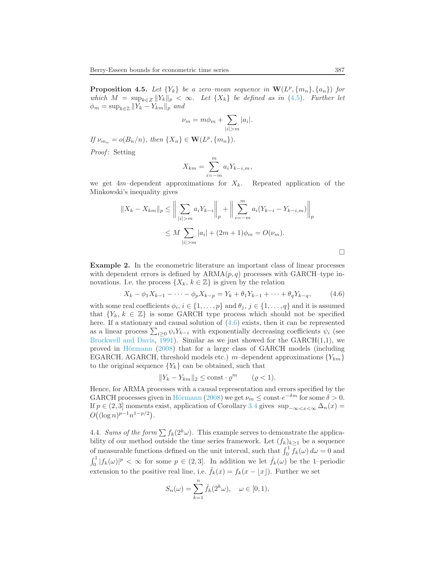**Proposition 4.5.** Let  ${Y_k}$  be a zero–mean sequence in  $\mathbf{W}(L^p, \{m_n\}, \{a_n\})$  for which  $M = \sup_{k \in \mathbb{Z}} ||Y_k||_p < \infty$ . Let  $\{X_k\}$  be defined as in [\(4.5\)](#page-9-3). Further let  $\phi_m = \sup_{k \in \mathbb{Z}} ||Y_k - Y_{km}||_p$  and

$$
\nu_m = m\phi_m + \sum_{|i|>m} |a_i|.
$$

If  $\nu_{m_n} = o(B_n/n)$ , then  $\{X_n\} \in \mathbf{W}(L^p, \{m_n\})$ .

Proof: Setting

$$
X_{km} = \sum_{i=-m}^{m} a_i Y_{k-i,m},
$$

we get  $4m$ –dependent approximations for  $X_k$ . Repeated application of the Minkowski's inequality gives

$$
||X_{k} - X_{km}||_{p} \le ||\sum_{|i|>m} a_{i}Y_{k-i}||_{p} + ||\sum_{i=-m}^{m} a_{i}(Y_{k-i} - Y_{k-i,m})||_{p}
$$
  

$$
\le M \sum_{|i|>m} |a_{i}| + (2m+1)\phi_{m} = O(\nu_{m}).
$$

<span id="page-10-0"></span>Example 2. In the econometric literature an important class of linear processes with dependent errors is defined by  $ARMA(p,q)$  processes with GARCH–type innovations. I.e. the process  $\{X_k, k \in \mathbb{Z}\}\$ is given by the relation

$$
X_k - \phi_1 X_{k-1} - \dots - \phi_p X_{k-p} = Y_k + \theta_1 Y_{k-1} + \dots + \theta_q Y_{k-q}, \tag{4.6}
$$

with some real coefficients  $\phi_i, i \in \{1, \ldots, p\}$  and  $\theta_j, j \in \{1, \ldots, q\}$  and it is assumed that  $\{Y_k, k \in \mathbb{Z}\}\$  is some GARCH type process which should not be specified here. If a stationary and causal solution of  $(4.6)$  exists, then it can be represented as a linear process  $\sum_{i\geq 0} \psi_i Y_{k-i}$  with exponentially decreasing coefficients  $\psi_i$  (see [Brockwell and Davis,](#page-17-18) [1991](#page-17-18)). Similar as we just showed for the  $GARCH(1,1)$ , we proved in Hörmann [\(2008](#page-18-14)) that for a large class of GARCH models (including EGARCH, AGARCH, threshold models etc.) m-dependent approximations  ${Y_{km}}$ to the original sequence  ${Y_k}$  can be obtained, such that

$$
||Y_k - Y_{km}||_2 \le \text{const} \cdot \varrho^m \qquad (\varrho < 1).
$$

Hence, for ARMA processes with a causal representation and errors specified by the GARCH processes given in Hörmann [\(2008](#page-18-14)) we get  $\nu_m \leq \text{const} \cdot e^{-\delta m}$  for some  $\delta > 0$ . If  $p \in (2, 3]$  moments exist, application of Corollary [3.4](#page-7-2) gives sup<sub>-∞  $\ll x \ll \infty$ </sub>  $\Delta_n(x)$  =  $O((\log n)^{p-1}n^{1-p/2}).$ 

4.4. Sums of the form  $\sum f_k(2^k\omega)$ . This example serves to demonstrate the applicability of our method outside the time series framework. Let  $(f_k)_{k\geq 1}$  be a sequence of measurable functions defined on the unit interval, such that  $\int_0^1 f_k(\omega) d\omega = 0$  and  $\int_0^1 |f_k(\omega)|^p < \infty$  for some  $p \in (2,3]$ . In addition we let  $\hat{f}_k(\omega)$  be the 1-periodic extension to the positive real line, i.e.  $\hat{f}_k(x) = f_k(x - \lfloor x \rfloor)$ . Further we set

$$
S_n(\omega) = \sum_{k=1}^n \hat{f}_k(2^k \omega), \quad \omega \in [0, 1),
$$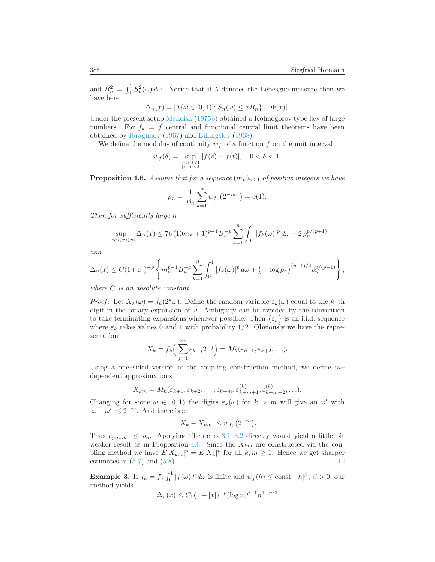and  $B_n^2 = \int_0^1 S_n^2(\omega) d\omega$ . Notice that if  $\lambda$  denotes the Lebesgue measure then we have here

$$
\Delta_n(x) = |\lambda\{\omega \in [0,1) : S_n(\omega) \le xB_n\} - \Phi(x)|.
$$

Under the present setup [McLeish](#page-18-8) [\(1975b\)](#page-18-8) obtained a Kolmogorov type law of large numbers. For  $f_k = f$  central and functional central limit theorems have been obtained by [Ibragimov](#page-18-15) [\(1967\)](#page-18-15) and [Billingsley](#page-17-15) [\(1968](#page-17-15)).

We define the modulus of continuity  $w_f$  of a function f on the unit interval

$$
w_f(\delta) = \sup_{0 \le s,t < 1 \atop |s-t| < \delta} |f(s) - f(t)|, \quad 0 < \delta < 1.
$$

<span id="page-11-0"></span>**Proposition 4.6.** Assume that for a sequence  $(m_n)_{n\geq 1}$  of positive integers we have

$$
\rho_n = \frac{1}{B_n} \sum_{k=1}^n w_{f_k}(2^{-m_n}) = o(1).
$$

Then for sufficiently large n

$$
\sup_{-\infty < x < \infty} \Delta_n(x) \le 76 (10m_n + 1)^{p-1} B_n^{-p} \sum_{k=1}^n \int_0^1 |f_k(\omega)|^p d\omega + 2 \rho_n^{p/(p+1)}
$$

and

$$
\Delta_n(x) \le C(1+|x|)^{-p} \left\{ m_n^{p-1} B_n^{-p} \sum_{k=1}^n \int_0^1 |f_k(\omega)|^p d\omega + \left( -\log \rho_n \right)^{(p+1)/2} \rho_n^{p/(p+1)} \right\},
$$

where  $C$  is an absolute constant.

*Proof*: Let  $X_k(\omega) = \hat{f}_k(2^k \omega)$ . Define the random variable  $\varepsilon_k(\omega)$  equal to the k-th digit in the binary expansion of  $\omega$ . Ambiguity can be avoided by the convention to take terminating expansions whenever possible. Then  $\{\varepsilon_k\}$  is an i.i.d. sequence where  $\varepsilon_k$  takes values 0 and 1 with probability 1/2. Obviously we have the representation

$$
X_k = f_k\left(\sum_{j=1}^{\infty} \varepsilon_{k+j} 2^{-j}\right) = M_k(\varepsilon_{k+1}, \varepsilon_{k+2}, \ldots).
$$

Using a one–sided version of the coupling construction method, we define  $m$ dependent approximations

$$
X_{km} = M_k(\varepsilon_{k+1}, \varepsilon_{k+2}, \dots, \varepsilon_{k+m}, \varepsilon_{k+m+1}^{(k)}, \varepsilon_{k+m+2}^{(k)}, \dots).
$$

Changing for some  $\omega \in [0, 1)$  the digits  $\varepsilon_k(\omega)$  for  $k > m$  will give an  $\omega'$  with  $|\omega - \omega'| \leq 2^{-m}$ . And therefore

$$
|X_k - X_{km}| \le w_{f_k}(2^{-m}).
$$

Thus  $e_{p,n,m_n} \leq \rho_n$ . Applying Theorems [3.1–](#page-5-2)[3.2](#page-6-0) directly would yield a little bit weaker result as in Proposition [4.6.](#page-11-0) Since the  $X_{km}$  are constructed via the coupling method we have  $E|X_{km}|^p = E|X_k|^p$  for all  $k, m \ge 1$ . Hence we get sharper estimates in  $(5.7)$  and  $(5.8)$ .

**Example 3.** If  $f_k = f$ ,  $\int_0^1 |f(\omega)|^p d\omega$  is finite and  $w_f(h) \le \text{const} \cdot |h|^\beta$ ,  $\beta > 0$ , our method yields

$$
\Delta_n(x) \le C_1 (1+|x|)^{-p} (\log n)^{p-1} n^{1-p/2}
$$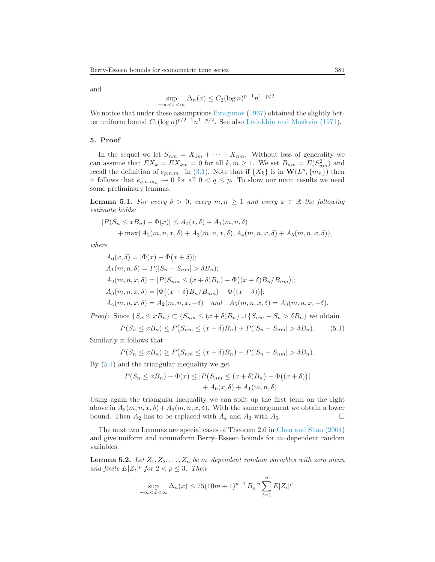and

$$
\sup_{-\infty < x < \infty} \Delta_n(x) \le C_2 (\log n)^{p-1} n^{1-p/2}.
$$

We notice that under these assumptions [Ibragimov](#page-18-15) [\(1967](#page-18-15)) obtained the slightly better uniform bound  $C_1(\log n)^{p/2-1}n^{1-p/2}$ . See also [Ladokhin and Moskvin](#page-18-16) [\(1971](#page-18-16)).

## <span id="page-12-2"></span>5. Proof

In the sequel we let  $S_{nm} = X_{1m} + \cdots + X_{nm}$ . Without loss of generality we can assume that  $EX_k = EX_{km} = 0$  for all  $k, m \ge 1$ . We set  $B_{nm} = E(S_{nm}^2)$  and recall the definition of  $e_{p,n,m_n}$  in [\(3.1\)](#page-5-5). Note that if  $\{X_k\}$  is in  $\mathbf{W}(L^p, \{m_n\})$  then it follows that  $e_{q,n,m_n} \to 0$  for all  $0 < q \leq p$ . To show our main results we need some preliminary lemmas.

<span id="page-12-4"></span>**Lemma 5.1.** For every  $\delta > 0$ , every  $m, n \ge 1$  and every  $x \in \mathbb{R}$  the following estimate holds:

$$
|P(S_n \leq xB_n) - \Phi(x)| \leq A_0(x, \delta) + A_1(m, n, \delta) + \max\{A_2(m, n, x, \delta) + A_3(m, n, x, \delta), A_4(m, n, x, \delta) + A_5(m, n, x, \delta)\},\
$$

where

$$
A_0(x, \delta) = |\Phi(x) - \Phi(x + \delta)|;
$$
  
\n
$$
A_1(m, n, \delta) = P(|S_n - S_{nm}| > \delta B_n);
$$
  
\n
$$
A_2(m, n, x, \delta) = |P(S_{nm} \le (x + \delta)B_n) - \Phi((x + \delta)B_n/B_{nm})|;
$$
  
\n
$$
A_3(m, n, x, \delta) = |\Phi((x + \delta)B_n/B_{nm}) - \Phi((x + \delta))|;
$$
  
\n
$$
A_4(m, n, x, \delta) = A_2(m, n, x, -\delta) \text{ and } A_5(m, n, x, \delta) = A_3(m, n, x, -\delta).
$$

*Proof*: Since  $\{S_n \leq xB_n\} \subset \{S_{nm} \leq (x+\delta)B_n\} \cup \{S_{nm} - S_n > \delta B_n\}$  we obtain

<span id="page-12-3"></span>
$$
P(S_n \le xB_n) \le P(S_{nm} \le (x+\delta)B_n) + P(|S_n - S_{nm}| > \delta B_n).
$$
 (5.1)

Similarly it follows that

$$
P(S_n \le xB_n) \ge P(S_{nm} \le (x - \delta)B_n) - P(|S_n - S_{nm}| > \delta B_n).
$$

By [\(5.1\)](#page-12-3) and the triangular inequality we get

$$
P(S_n \le xB_n) - \Phi(x) \le |P(S_{nm} \le (x+\delta)B_n) - \Phi((x+\delta))|
$$
  
+  $A_0(x,\delta) + A_1(m,n,\delta)$ .

Using again the triangular inequality we can split up the first term on the right above in  $A_2(m, n, x, \delta) + A_3(m, n, x, \delta)$ . With the same argument we obtain a lower bound. Then  $A_2$  has to be replaced with  $A_4$  and  $A_3$  with  $A_5$ .

The next two Lemmas are special cases of Theorem 2.6 in [Chen and Shao](#page-17-10) [\(2004\)](#page-17-10) and give uniform and nonuniform Berry–Esseen bounds for  $m$ –dependent random variables.

<span id="page-12-1"></span><span id="page-12-0"></span>**Lemma 5.2.** Let  $Z_1, Z_2, \ldots, Z_n$  be m-dependent random variables with zero mean and finite  $E|Z_i|^p$  for  $2 < p \leq 3$ . Then

$$
\sup_{-\infty < x < \infty} \Delta_n(x) \le 75(10m+1)^{p-1} B_n^{-p} \sum_{i=1}^n E|Z_i|^p.
$$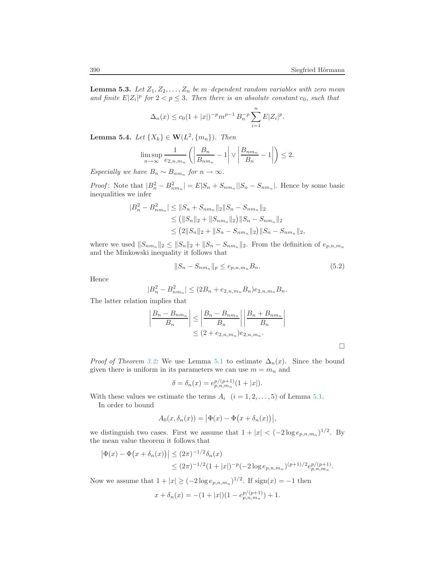**Lemma 5.3.** Let  $Z_1, Z_2, \ldots, Z_n$  be m-dependent random variables with zero mean and finite  $E|Z_i|^p$  for  $2 < p \leq 3$ . Then there is an absolute constant  $c_0$ , such that

$$
\Delta_n(x) \le c_0 (1+|x|)^{-p} m^{p-1} B_n^{-p} \sum_{i=1}^n E|Z_i|^p.
$$

<span id="page-13-1"></span>**Lemma 5.4.** Let  $\{X_k\} \in \mathbf{W}(L^2, \{m_n\})$ . Then

$$
\limsup_{n \to \infty} \frac{1}{e_{2,n,m_n}} \left( \left| \frac{B_n}{B_{nm_n}} - 1 \right| \vee \left| \frac{B_{nm_n}}{B_n} - 1 \right| \right) \le 2.
$$

Especially we have  $B_n \sim B_{nm_n}$  for  $n \to \infty$ .

*Proof*: Note that  $|B_n^2 - B_{nm_n}^2| = E|S_n + S_{nm_n}||S_n - S_{nm_n}|$ . Hence by some basic inequalities we infer

$$
|B_n^2 - B_{nm_n}^2| \le ||S_n + S_{nm_n}||_2||S_n - S_{nm_n}||_2
$$
  
\n
$$
\le (||S_n||_2 + ||S_{nm_n}||_2)||S_n - S_{nm_n}||_2
$$
  
\n
$$
\le (2||S_n||_2 + ||S_n - S_{nm_n}||_2)||S_n - S_{nm_n}||_2,
$$

<span id="page-13-0"></span>where we used  $||S_{nm_n}||_2 \le ||S_n||_2 + ||S_n - S_{nm_n}||_2$ . From the definition of  $e_{p,n,m_n}$ and the Minkowski inequality it follows that

$$
||S_n - S_{nm_n}||_p \le e_{p,n,m_n} B_n.
$$
\n(5.2)

Hence

$$
|B_n^2 - B_{nm_n}^2| \le (2B_n + e_{2,n,m_n}B_n)e_{2,n,m_n}B_n.
$$

The latter relation implies that

$$
\left| \frac{B_n - B_{nm_n}}{B_n} \right| \le \left| \frac{B_n - B_{nm_n}}{B_n} \right| \left| \frac{B_n + B_{nm_n}}{B_n} \right|
$$
  

$$
\le (2 + e_{2,n,m_n})e_{2,n,m_n}.
$$

 $\Box$ 

*Proof of Theorem [3.2:](#page-6-0)* We use Lemma [5.1](#page-12-4) to estimate  $\Delta_n(x)$ . Since the bound given there is uniform in its parameters we can use  $m = m_n$  and

$$
\delta = \delta_n(x) = e_{p,n,m_n}^{p/(p+1)}(1+|x|).
$$

With these values we estimate the terms  $A_i$   $(i = 1, 2, ..., 5)$  of Lemma [5.1.](#page-12-4)

In order to bound

$$
A_0(x, \delta_n(x)) = |\Phi(x) - \Phi(x + \delta_n(x))|,
$$

we distinguish two cases. First we assume that  $1 + |x| < (-2\log e_{p,n,m_n})^{1/2}$ . By the mean value theorem it follows that

$$
\left| \Phi(x) - \Phi(x + \delta_n(x)) \right| \le (2\pi)^{-1/2} \delta_n(x)
$$
  
\$\le (2\pi)^{-1/2} (1+|x|)^{-p}(-2 \log e\_{p,n,m\_n})^{(p+1)/2} e\_{p,n,m\_n}^{p/(p+1)}.

Now we assume that  $1 + |x| \ge (-2 \log e_{p,n,m_n})^{1/2}$ . If  $\text{sign}(x) = -1$  then

$$
x + \delta_n(x) = -(1+|x|)(1 - e_{p,n,m_n}^{p/(p+1)}) + 1.
$$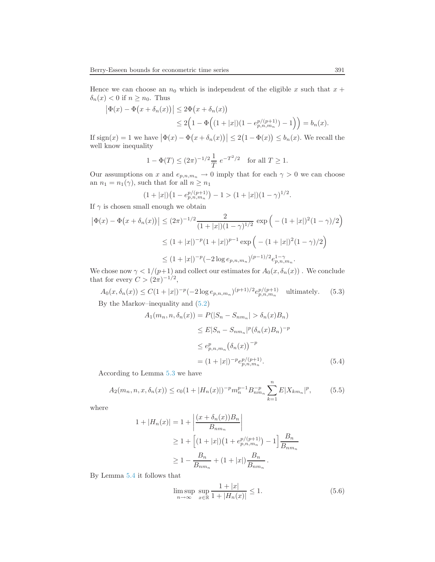Hence we can choose an  $n_0$  which is independent of the eligible x such that  $x +$  $\delta_n(x) < 0$  if  $n \geq n_0$ . Thus

$$
|\Phi(x) - \Phi(x + \delta_n(x))| \le 2\Phi(x + \delta_n(x))
$$
  
 
$$
\le 2\Big(1 - \Phi\Big((1+|x|)(1-e_{p,n,m_n}^{p/(p+1)}) - 1\Big)\Big) = b_n(x).
$$

If  $\text{sign}(x) = 1$  we have  $|\Phi(x) - \Phi(x + \delta_n(x))| \leq 2(1 - \Phi(x)) \leq b_n(x)$ . We recall the well know inequality

$$
1 - \Phi(T) \le (2\pi)^{-1/2} \frac{1}{T} e^{-T^2/2}
$$
 for all  $T \ge 1$ .

Our assumptions on x and  $e_{p,n,m_n} \to 0$  imply that for each  $\gamma > 0$  we can choose an  $n_1 = n_1(\gamma)$ , such that for all  $n \geq n_1$ 

$$
(1+|x|)\left(1-e_{p,n,m_n}^{p/(p+1)}\right)-1>(1+|x|)(1-\gamma)^{1/2}.
$$

If  $\gamma$  is chosen small enough we obtain

$$
\left|\Phi(x) - \Phi(x + \delta_n(x))\right| \le (2\pi)^{-1/2} \frac{2}{(1+|x|)(1-\gamma)^{1/2}} \exp\left(-(1+|x|)^2(1-\gamma)/2\right)
$$
  

$$
\le (1+|x|)^{-p}(1+|x|)^{p-1} \exp\left(-(1+|x|)^2(1-\gamma)/2\right)
$$
  

$$
\le (1+|x|)^{-p}(-2\log e_{p,n,m_n})^{(p-1)/2} e_{p,n,m_n}^{1-\gamma}.
$$

<span id="page-14-1"></span>We chose now  $\gamma < 1/(p+1)$  and collect our estimates for  $A_0(x, \delta_n(x))$ . We conclude that for every  $C > (2\pi)^{-1/2}$ ,

$$
A_0(x, \delta_n(x)) \le C(1+|x|)^{-p}(-2\log e_{p,n,m_n})^{(p+1)/2} e_{p,n,m_n}^{p/(p+1)}
$$
 ultimately. (5.3)  
By the Markov–inequality and (5.2)

<span id="page-14-2"></span>
$$
A_1(m_n, n, \delta_n(x)) = P(|S_n - S_{nm_n}| > \delta_n(x)B_n)
$$
  
\n
$$
\leq E|S_n - S_{nm_n}|^p (\delta_n(x)B_n)^{-p}
$$
  
\n
$$
\leq e_{p,n,m_n}^p (\delta_n(x))^{-p}
$$
  
\n
$$
= (1 + |x|)^{-p} e_{p,n,m_n}^{p/(p+1)}.
$$
\n(5.4)

<span id="page-14-0"></span>According to Lemma [5.3](#page-12-1) we have

$$
A_2(m_n, n, x, \delta_n(x)) \le c_0 (1 + |H_n(x)|)^{-p} m_n^{p-1} B_{nm_n}^{-p} \sum_{k=1}^n E|X_{km_n}|^p, \tag{5.5}
$$

where

$$
1 + |H_n(x)| = 1 + \left| \frac{(x + \delta_n(x))B_n}{B_{nm_n}} \right|
$$
  
\n
$$
\geq 1 + \left[ (1 + |x|) \left( 1 + e_{p,n,m_n}^{p/(p+1)} \right) - 1 \right] \frac{B_n}{B_{nm_n}}
$$
  
\n
$$
\geq 1 - \frac{B_n}{B_{nm_n}} + (1 + |x|) \frac{B_n}{B_{nm_n}}.
$$

By Lemma [5.4](#page-13-1) it follows that

$$
\limsup_{n \to \infty} \sup_{x \in \mathbb{R}} \frac{1 + |x|}{1 + |H_n(x)|} \le 1.
$$
\n(5.6)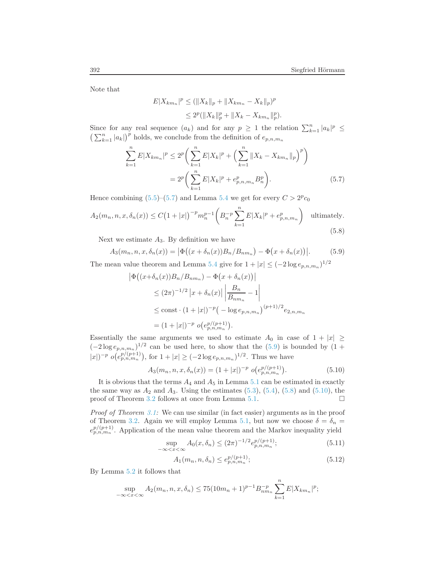Note that

<span id="page-15-0"></span>
$$
E|X_{km_n}|^p \le (||X_k||_p + ||X_{km_n} - X_k||_p)^p
$$
  
\n
$$
\le 2^p (||X_k||_p^p + ||X_k - X_{km_n}||_p^p).
$$

Since for any real sequence  $(a_k)$  and for any  $p \geq 1$  the relation  $\sum_{k=1}^{n} |a_k|^p \leq$  $\left(\sum_{k=1}^n |a_k|\right)^p$  holds, we conclude from the definition of  $e_{p,n,m_n}$ 

$$
\sum_{k=1}^{n} E|X_{km_n}|^p \le 2^p \bigg( \sum_{k=1}^{n} E|X_k|^p + \bigg( \sum_{k=1}^{n} \|X_k - X_{km_n}\|_p \bigg)^p \bigg) \n= 2^p \bigg( \sum_{k=1}^{n} E|X_k|^p + e_{p,n,m_n}^p B_n^p \bigg).
$$
\n(5.7)

Hence combining [\(5.5\)](#page-14-0)–[\(5.7\)](#page-15-0) and Lemma [5.4](#page-13-1) we get for every  $C > 2^p c_0$ 

<span id="page-15-1"></span>
$$
A_2(m_n, n, x, \delta_n(x)) \le C\left(1+|x|\right)^{-p} m_n^{p-1} \left(B_n^{-p} \sum_{k=1}^n E|X_k|^p + e_{p,n,m_n}^p\right) \quad \text{ultimately.}
$$
\n
$$
(5.8)
$$

Next we estimate  $A_3$ . By definition we have

$$
A_3(m_n, n, x, \delta_n(x)) = |\Phi((x + \delta_n(x))B_n/B_{nm_n}) - \Phi(x + \delta_n(x))|.
$$
 (5.9)

<span id="page-15-2"></span>The mean value theorem and Lemma [5.4](#page-13-1) give for  $1 + |x| \leq (-2 \log e_{p,n,m_n})^{1/2}$ 

$$
\begin{aligned} \left| \Phi \big( (x + \delta_n(x)) B_n / B_{nm_n} \big) - \Phi \big( x + \delta_n(x) \big) \right| \\ &\le (2\pi)^{-1/2} \left| x + \delta_n(x) \right| \left| \frac{B_n}{B_{nm_n}} - 1 \right| \\ &\le \text{const} \cdot (1 + |x|)^{-p} \big( -\log e_{p,n,m_n} \big)^{(p+1)/2} e_{2,n,m_n} \\ &= (1 + |x|)^{-p} \ o\big( e_{p,n,m_n}^{p/(p+1)} \big). \end{aligned}
$$

Essentially the same arguments we used to estimate  $A_0$  in case of  $1 + |x| \ge$  $(-2\log e_{p,n,m}\vert)^{1/2}$  can be used here, to show that the [\(5.9\)](#page-15-2) is bounded by  $(1 +$  $|x|)^{-p} o(e_{p,n,m_n}^{p/(p+1)})$ , for  $1+|x| \geq (-2\log e_{p,n,m_n})^{1/2}$ . Thus we have

$$
A_3(m_n, n, x, \delta_n(x)) = (1+|x|)^{-p} o(e_{p,n,m_n}^{p/(p+1)}).
$$
 (5.10)

<span id="page-15-3"></span>It is obvious that the terms  $A_4$  and  $A_5$  in Lemma [5.1](#page-12-4) can be estimated in exactly the same way as  $A_2$  and  $A_3$ . Using the estimates  $(5.3)$ ,  $(5.4)$ ,  $(5.8)$  and  $(5.10)$ , the proof of Theorem [3.2](#page-6-0) follows at once from Lemma [5.1.](#page-12-4)

Proof of Theorem [3.1:](#page-5-2) We can use similar (in fact easier) arguments as in the proof of Theorem [3.2.](#page-6-0) Again we will employ Lemma [5.1,](#page-12-4) but now we choose  $\delta = \delta_n =$  $e_{p,n,m_n}^{p/(p+1)}$ . Application of the mean value theorem and the Markov inequality yield

$$
\sup_{-\infty < x < \infty} A_0(x, \delta_n) \le (2\pi)^{-1/2} e_{p, n, m_n}^{p/(p+1)}; \tag{5.11}
$$

<span id="page-15-4"></span>
$$
A_1(m_n, n, \delta_n) \le e_{p, n, m_n}^{p/(p+1)};
$$
\n(5.12)

By Lemma [5.2](#page-12-0) it follows that

$$
\sup_{-\infty < x < \infty} A_2(m_n, n, x, \delta_n) \le 75(10m_n + 1)^{p-1} B_{nm_n}^{-p} \sum_{k=1}^n E|X_{km_n}|^p;
$$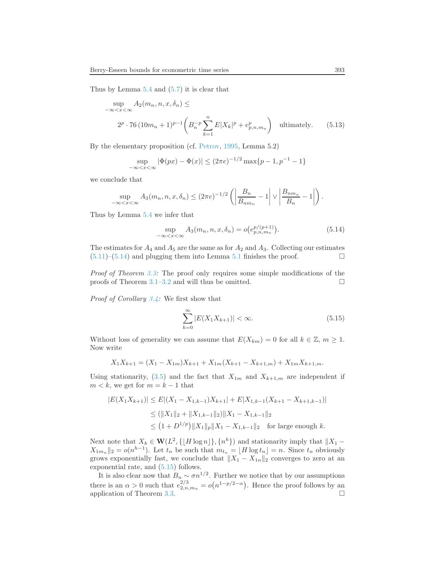Thus by Lemma [5.4](#page-13-1) and [\(5.7\)](#page-15-0) it is clear that

$$
\sup_{-\infty < x < \infty} A_2(m_n, n, x, \delta_n) \le
$$
\n
$$
2^p \cdot 76 \left(10m_n + 1\right)^{p-1} \left(B_n^{-p} \sum_{k=1}^n E|X_k|^p + e_{p, n, m_n}^p\right) \quad \text{ultimately.} \tag{5.13}
$$

By the elementary proposition (cf. [Petrov](#page-19-2), [1995](#page-19-2), Lemma 5.2)

$$
\sup_{-\infty < x < \infty} |\Phi(px) - \Phi(x)| \le (2\pi e)^{-1/2} \max\{p - 1, p^{-1} - 1\}
$$

we conclude that

$$
\sup_{-\infty < x < \infty} A_3(m_n, n, x, \delta_n) \le (2\pi e)^{-1/2} \left( \left| \frac{B_n}{B_{nm_n}} - 1 \right| \vee \left| \frac{B_{nm_n}}{B_n} - 1 \right| \right).
$$

<span id="page-16-0"></span>Thus by Lemma [5.4](#page-13-1) we infer that

$$
\sup_{-\infty < x < \infty} A_3(m_n, n, x, \delta_n) = o(e_{p, n, m_n}^{p/(p+1)}). \tag{5.14}
$$

The estimates for  $A_4$  and  $A_5$  are the same as for  $A_2$  and  $A_3$ . Collecting our estimates  $(5.11)$ – $(5.14)$  and plugging them into Lemma [5.1](#page-12-4) finishes the proof.

Proof of Theorem [3.3:](#page-6-2) The proof only requires some simple modifications of the proofs of Theorem [3.1–](#page-5-2)[3.2](#page-6-0) and will thus be omitted.  $\square$ 

<span id="page-16-1"></span>Proof of Corollary [3.4:](#page-7-2) We first show that

$$
\sum_{k=0}^{\infty} |E(X_1 X_{k+1})| < \infty. \tag{5.15}
$$

Without loss of generality we can assume that  $E(X_{km}) = 0$  for all  $k \in \mathbb{Z}$ ,  $m \ge 1$ . Now write

$$
X_1X_{k+1} = (X_1 - X_{1m})X_{k+1} + X_{1m}(X_{k+1} - X_{k+1,m}) + X_{1m}X_{k+1,m}.
$$

Using stationarity, [\(3.5\)](#page-7-1) and the fact that  $X_{1m}$  and  $X_{k+1,m}$  are independent if  $m < k$ , we get for  $m = k - 1$  that

$$
|E(X_1X_{k+1})| \leq E|(X_1 - X_{1,k-1})X_{k+1}| + E|X_{1,k-1}(X_{k+1} - X_{k+1,k-1})|
$$
  
\n
$$
\leq (||X_1||_2 + ||X_{1,k-1}||_2)||X_1 - X_{1,k-1}||_2
$$
  
\n
$$
\leq (1 + D^{1/p})||X_1||_p ||X_1 - X_{1,k-1}||_2 \text{ for large enough } k.
$$

Next note that  $X_k \in \mathbf{W}(L^2, \{\lfloor H \log n \rfloor\}, \{n^h\})$  and stationarity imply that  $||X_1 X_{1m_n} \|_2 = o(n^{h-1})$ . Let  $t_n$  be such that  $m_{t_n} = \lfloor H \log t_n \rfloor = n$ . Since  $t_n$  obviously grows exponentially fast, we conclude that  $||X_1 - X_{1n}||_2$  converges to zero at an exponential rate, and [\(5.15\)](#page-16-1) follows.

It is also clear now that  $B_n \sim \sigma n^{1/2}$ . Further we notice that by our assumptions there is an  $\alpha > 0$  such that  $e_{2,n,m_n}^{2/3} = o(n^{1-p/2-\alpha})$ . Hence the proof follows by an application of Theorem [3.3.](#page-6-2)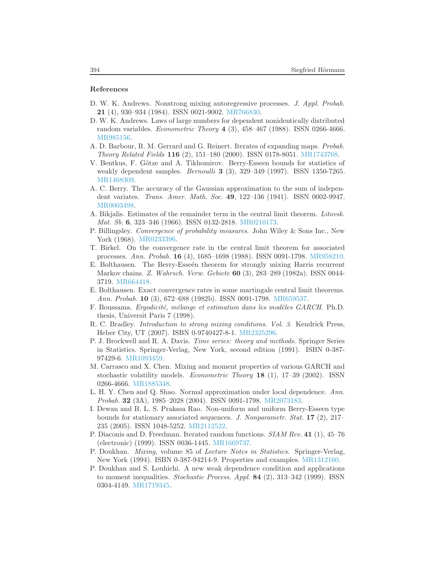#### References

- <span id="page-17-14"></span>D. W. K. Andrews. Nonstrong mixing autoregressive processes. J. Appl. Probab. 21 (4), 930–934 (1984). ISSN 0021-9002. [MR766830.](http://www.ams.org/mathscinet-getitem?mr=MR766830)
- <span id="page-17-0"></span>D. W. K. Andrews. Laws of large numbers for dependent nonidentically distributed random variables. *Econometric Theory*  $4$  (3), 458-467 (1988). ISSN 0266-4666. [MR985156.](http://www.ams.org/mathscinet-getitem?mr=MR985156)
- <span id="page-17-16"></span>A. D. Barbour, R. M. Gerrard and G. Reinert. Iterates of expanding maps. Probab. Theory Related Fields 116 (2), 151–180 (2000). ISSN 0178-8051. [MR1743768.](http://www.ams.org/mathscinet-getitem?mr=MR1743768)
- <span id="page-17-8"></span>V. Bentkus, F. Götze and A. Tikhomirov. Berry-Esseen bounds for statistics of weakly dependent samples. *Bernoulli* **3** (3), 329-349 (1997). ISSN 1350-7265. [MR1468309.](http://www.ams.org/mathscinet-getitem?mr=MR1468309)
- <span id="page-17-4"></span>A. C. Berry. The accuracy of the Gaussian approximation to the sum of independent variates. Trans. Amer. Math. Soc. 49, 122–136 (1941). ISSN 0002-9947. [MR0003498.](http://www.ams.org/mathscinet-getitem?mr=MR0003498)
- <span id="page-17-5"></span>A. Bikjalis. Estimates of the remainder term in the central limit theorem. Litovsk. Mat. Sb. 6, 323–346 (1966). ISSN 0132-2818. [MR0210173.](http://www.ams.org/mathscinet-getitem?mr=MR0210173)
- <span id="page-17-15"></span>P. Billingsley. Convergence of probability measures. John Wiley & Sons Inc., New York (1968). [MR0233396.](http://www.ams.org/mathscinet-getitem?mr=MR0233396)
- <span id="page-17-12"></span>T. Birkel. On the convergence rate in the central limit theorem for associated processes. Ann. Probab. 16 (4), 1685–1698 (1988). ISSN 0091-1798. [MR958210.](http://www.ams.org/mathscinet-getitem?mr=MR958210)
- <span id="page-17-9"></span>E. Bolthausen. The Berry-Esseén theorem for strongly mixing Harris recurrent Markov chains. Z. Wahrsch. Verw. Gebiete 60 (3), 283–289 (1982a). ISSN 0044- 3719. [MR664418.](http://www.ams.org/mathscinet-getitem?mr=MR664418)
- <span id="page-17-11"></span>E. Bolthausen. Exact convergence rates in some martingale central limit theorems. Ann. Probab. 10 (3), 672–688 (1982b). ISSN 0091-1798. [MR659537.](http://www.ams.org/mathscinet-getitem?mr=MR659537)
- <span id="page-17-3"></span>F. Boussama. Ergodicité, mélange et estimation dans les modèles GARCH. Ph.D. thesis, Universit Paris 7 (1998).
- <span id="page-17-6"></span>R. C. Bradley. Introduction to strong mixing conditions. Vol. 3. Kendrick Press, Heber City, UT (2007). ISBN 0-9740427-8-1. [MR2325296.](http://www.ams.org/mathscinet-getitem?mr=MR2325296)
- <span id="page-17-18"></span>P. J. Brockwell and R. A. Davis. Time series: theory and methods. Springer Series in Statistics. Springer-Verlag, New York, second edition (1991). ISBN 0-387- 97429-6. [MR1093459.](http://www.ams.org/mathscinet-getitem?mr=MR1093459)
- <span id="page-17-2"></span>M. Carrasco and X. Chen. Mixing and moment properties of various GARCH and stochastic volatility models. Econometric Theory 18 (1), 17–39 (2002). ISSN 0266-4666. [MR1885348.](http://www.ams.org/mathscinet-getitem?mr=MR1885348)
- <span id="page-17-10"></span>L. H. Y. Chen and Q. Shao. Normal approximation under local dependence. Ann. Probab. 32 (3A), 1985–2028 (2004). ISSN 0091-1798. [MR2073183.](http://www.ams.org/mathscinet-getitem?mr=MR2073183)
- <span id="page-17-13"></span>I. Dewan and B. L. S. Prakasa Rao. Non-uniform and uniform Berry-Esseen type bounds for stationary associated sequences. J. Nonparametr. Stat. 17 (2), 217– 235 (2005). ISSN 1048-5252. [MR2112522.](http://www.ams.org/mathscinet-getitem?mr=MR2112522)
- <span id="page-17-17"></span>P. Diaconis and D. Freedman. Iterated random functions. SIAM Rev. 41 (1), 45–76 (electronic) (1999). ISSN 0036-1445. [MR1669737.](http://www.ams.org/mathscinet-getitem?mr=MR1669737)
- <span id="page-17-7"></span>P. Doukhan. Mixing, volume 85 of Lecture Notes in Statistics. Springer-Verlag, New York (1994). ISBN 0-387-94214-9. Properties and examples. [MR1312160.](http://www.ams.org/mathscinet-getitem?mr=MR1312160)
- <span id="page-17-1"></span>P. Doukhan and S. Louhichi. A new weak dependence condition and applications to moment inequalities. *Stochastic Process. Appl.* **84** (2), 313–342 (1999). ISSN 0304-4149. [MR1719345.](http://www.ams.org/mathscinet-getitem?mr=MR1719345)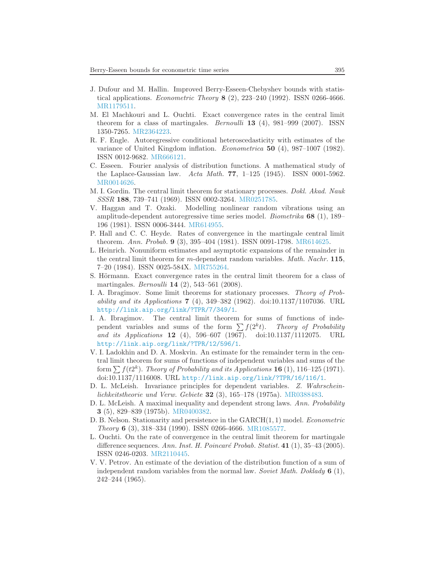- <span id="page-18-0"></span>J. Dufour and M. Hallin. Improved Berry-Esseen-Chebyshev bounds with statistical applications. Econometric Theory 8 (2), 223–240 (1992). ISSN 0266-4666. [MR1179511.](http://www.ams.org/mathscinet-getitem?mr=MR1179511)
- <span id="page-18-6"></span>M. El Machkouri and L. Ouchti. Exact convergence rates in the central limit theorem for a class of martingales. *Bernoulli* **13** (4),  $981-999$  (2007). ISSN 1350-7265. [MR2364223.](http://www.ams.org/mathscinet-getitem?mr=MR2364223)
- <span id="page-18-12"></span>R. F. Engle. Autoregressive conditional heteroscedasticity with estimates of the variance of United Kingdom inflation. Econometrica 50 (4), 987–1007 (1982). ISSN 0012-9682. [MR666121.](http://www.ams.org/mathscinet-getitem?mr=MR666121)
- <span id="page-18-1"></span>C. Esseen. Fourier analysis of distribution functions. A mathematical study of the Laplace-Gaussian law. Acta Math. 77,  $1-125$  (1945). ISSN 0001-5962. [MR0014626.](http://www.ams.org/mathscinet-getitem?mr=MR0014626)
- <span id="page-18-10"></span>M. I. Gordin. The central limit theorem for stationary processes. Dokl. Akad. Nauk SSSR 188, 739–741 (1969). ISSN 0002-3264. [MR0251785.](http://www.ams.org/mathscinet-getitem?mr=MR0251785)
- <span id="page-18-11"></span>V. Haggan and T. Ozaki. Modelling nonlinear random vibrations using an amplitude-dependent autoregressive time series model. *Biometrika* 68 (1), 189– 196 (1981). ISSN 0006-3444. [MR614955.](http://www.ams.org/mathscinet-getitem?mr=MR614955)
- <span id="page-18-4"></span>P. Hall and C. C. Heyde. Rates of convergence in the martingale central limit theorem. Ann. Probab. 9 (3), 395–404 (1981). ISSN 0091-1798. [MR614625.](http://www.ams.org/mathscinet-getitem?mr=MR614625)
- <span id="page-18-3"></span>L. Heinrich. Nonuniform estimates and asymptotic expansions of the remainder in the central limit theorem for m-dependent random variables. *Math. Nachr.* 115, 7–20 (1984). ISSN 0025-584X. [MR755264.](http://www.ams.org/mathscinet-getitem?mr=MR755264)
- <span id="page-18-14"></span>S. Hörmann. Exact convergence rates in the central limit theorem for a class of martingales. Bernoulli 14 (2), 543–561 (2008).
- <span id="page-18-7"></span>I. A. Ibragimov. Some limit theorems for stationary processes. Theory of Probability and its Applications  $7 \, (4)$ , 349–382 (1962). doi:10.1137/1107036. URL <http://link.aip.org/link/?TPR/7/349/1>.
- <span id="page-18-15"></span>I. A. Ibragimov. The central limit theorem for sums of functions of independent variables and sums of the form  $\sum f(2^k t)$ . Theory of Probability and its Applications 12 (4), 596–607 (1967). doi:10.1137/1112075. URL <http://link.aip.org/link/?TPR/12/596/1>.
- <span id="page-18-16"></span>V. I. Ladokhin and D. A. Moskvin. An estimate for the remainder term in the central limit theorem for sums of functions of independent variables and sums of the form  $\sum f(t2^k)$ . Theory of Probability and its Applications **16** (1), 116–125 (1971). doi:10.1137/1116008. URL <http://link.aip.org/link/?TPR/16/116/1>.
- <span id="page-18-9"></span>D. L. McLeish. Invariance principles for dependent variables. Z. Wahrscheinlichkeitstheorie und Verw. Gebiete 32 (3), 165–178 (1975a). [MR0388483.](http://www.ams.org/mathscinet-getitem?mr=MR0388483)
- <span id="page-18-8"></span>D. L. McLeish. A maximal inequality and dependent strong laws. Ann. Probability 3 (5), 829–839 (1975b). [MR0400382.](http://www.ams.org/mathscinet-getitem?mr=MR0400382)
- <span id="page-18-13"></span>D. B. Nelson. Stationarity and persistence in the GARCH(1,1) model. *Econometric* Theory 6 (3), 318–334 (1990). ISSN 0266-4666. [MR1085577.](http://www.ams.org/mathscinet-getitem?mr=MR1085577)
- <span id="page-18-5"></span>L. Ouchti. On the rate of convergence in the central limit theorem for martingale difference sequences. Ann. Inst. H. Poincaré Probab. Statist.  $41$  (1), 35–43 (2005). ISSN 0246-0203. [MR2110445.](http://www.ams.org/mathscinet-getitem?mr=MR2110445)
- <span id="page-18-2"></span>V. V. Petrov. An estimate of the deviation of the distribution function of a sum of independent random variables from the normal law. Soviet Math. Doklady  $6(1)$ , 242–244 (1965).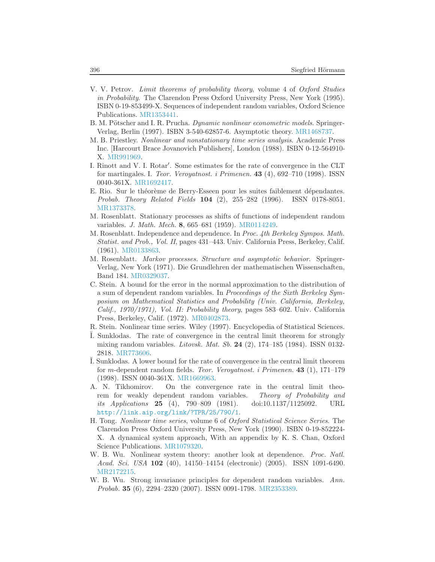- <span id="page-19-2"></span>V. V. Petrov. Limit theorems of probability theory, volume 4 of Oxford Studies in Probability. The Clarendon Press Oxford University Press, New York (1995). ISBN 0-19-853499-X. Sequences of independent random variables, Oxford Science Publications. [MR1353441.](http://www.ams.org/mathscinet-getitem?mr=MR1353441)
- <span id="page-19-0"></span>B. M. Pötscher and I. R. Prucha. Dynamic nonlinear econometric models. Springer-Verlag, Berlin (1997). ISBN 3-540-62857-6. Asymptotic theory. [MR1468737.](http://www.ams.org/mathscinet-getitem?mr=MR1468737)
- <span id="page-19-13"></span>M. B. Priestley. Nonlinear and nonstationary time series analysis. Academic Press Inc. [Harcourt Brace Jovanovich Publishers], London (1988). ISBN 0-12-564910- X. [MR991969.](http://www.ams.org/mathscinet-getitem?mr=MR991969)
- <span id="page-19-8"></span>I. Rinott and V. I. Rotar′ . Some estimates for the rate of convergence in the CLT for martingales. I. Teor. Veroyatnost. i Primenen.  $43$  (4), 692–710 (1998). ISSN 0040-361X. [MR1692417.](http://www.ams.org/mathscinet-getitem?mr=MR1692417)
- <span id="page-19-4"></span>E. Rio. Sur le théorème de Berry-Esseen pour les suites faiblement dépendantes. Probab. Theory Related Fields 104 (2), 255–282 (1996). ISSN 0178-8051. [MR1373378.](http://www.ams.org/mathscinet-getitem?mr=MR1373378)
- <span id="page-19-10"></span>M. Rosenblatt. Stationary processes as shifts of functions of independent random variables. J. Math. Mech. 8, 665–681 (1959). [MR0114249.](http://www.ams.org/mathscinet-getitem?mr=MR0114249)
- <span id="page-19-11"></span>M. Rosenblatt. Independence and dependence. In Proc. 4th Berkeley Sympos. Math. Statist. and Prob., Vol. II, pages 431–443. Univ. California Press, Berkeley, Calif. (1961). [MR0133863.](http://www.ams.org/mathscinet-getitem?mr=MR0133863)
- <span id="page-19-12"></span>M. Rosenblatt. Markov processes. Structure and asymptotic behavior. Springer-Verlag, New York (1971). Die Grundlehren der mathematischen Wissenschaften, Band 184. [MR0329037.](http://www.ams.org/mathscinet-getitem?mr=MR0329037)
- <span id="page-19-6"></span>C. Stein. A bound for the error in the normal approximation to the distribution of a sum of dependent random variables. In Proceedings of the Sixth Berkeley Symposium on Mathematical Statistics and Probability (Univ. California, Berkeley, Calif., 1970/1971), Vol. II: Probability theory, pages 583–602. Univ. California Press, Berkeley, Calif. (1972). [MR0402873.](http://www.ams.org/mathscinet-getitem?mr=MR0402873)
- <span id="page-19-14"></span>R. Stein. Nonlinear time series. Wiley (1997). Encyclopedia of Statistical Sciences.
- <span id="page-19-5"></span>I. Sunklodas. The rate of convergence in the central limit theorem for strongly mixing random variables. *Litovsk. Mat. Sb.* **24** (2), 174–185 (1984). ISSN 0132-2818. [MR773606.](http://www.ams.org/mathscinet-getitem?mr=MR773606)
- <span id="page-19-7"></span>I. Sunklodas. A lower bound for the rate of convergence in the central limit theorem for *m*-dependent random fields. Teor. Veroyatnost. i Primenen. 43 (1), 171–179 (1998). ISSN 0040-361X. [MR1669963.](http://www.ams.org/mathscinet-getitem?mr=MR1669963)
- <span id="page-19-3"></span>A. N. Tikhomirov. On the convergence rate in the central limit theorem for weakly dependent random variables. Theory of Probability and its Applications 25 (4), 790–809 (1981). doi:10.1137/1125092. URL <http://link.aip.org/link/?TPR/25/790/1>.
- <span id="page-19-15"></span>H. Tong. Nonlinear time series, volume 6 of Oxford Statistical Science Series. The Clarendon Press Oxford University Press, New York (1990). ISBN 0-19-852224- X. A dynamical system approach, With an appendix by K. S. Chan, Oxford Science Publications. [MR1079320.](http://www.ams.org/mathscinet-getitem?mr=MR1079320)
- <span id="page-19-1"></span>W. B. Wu. Nonlinear system theory: another look at dependence. *Proc. Natl.* Acad. Sci. USA 102 (40), 14150–14154 (electronic) (2005). ISSN 1091-6490. [MR2172215.](http://www.ams.org/mathscinet-getitem?mr=MR2172215)
- <span id="page-19-9"></span>W. B. Wu. Strong invariance principles for dependent random variables. Ann. Probab. 35 (6), 2294–2320 (2007). ISSN 0091-1798. [MR2353389.](http://www.ams.org/mathscinet-getitem?mr=MR2353389)